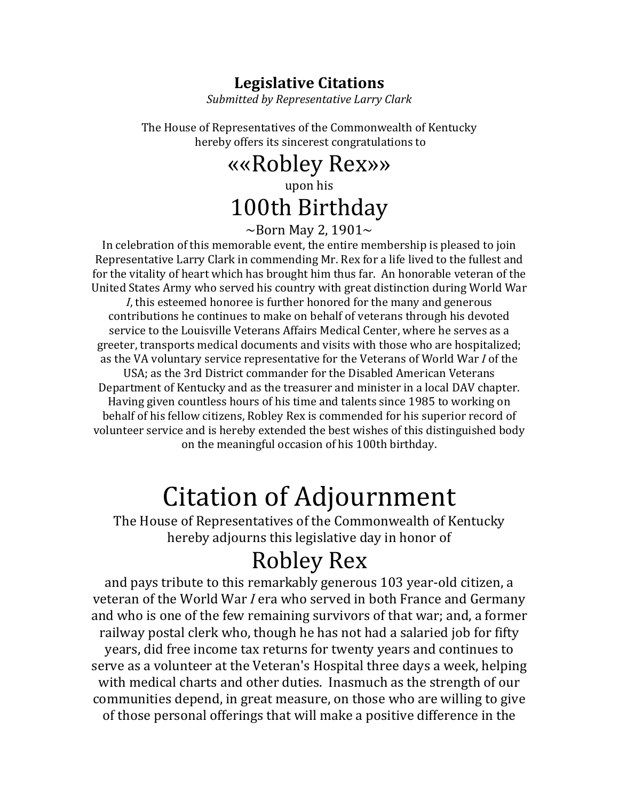## **Legislative Citations**

*Submitted)by)Representative)Larry)Clark*

The House of Representatives of the Commonwealth of Kentucky hereby offers its sincerest congratulations to

> ««Robley!Rex»» upon!his 100th Birthday

 $\sim$ Born May 2, 1901 $\sim$ 

In celebration of this memorable event, the entire membership is pleased to join Representative Larry Clark in commending Mr. Rex for a life lived to the fullest and for the vitality of heart which has brought him thus far. An honorable veteran of the United States Army who served his country with great distinction during World War *I*, this esteemed honoree is further honored for the many and generous contributions he continues to make on behalf of veterans through his devoted service to the Louisville Veterans Affairs Medical Center, where he serves as a greeter, transports medical documents and visits with those who are hospitalized; as the VA voluntary service representative for the Veterans of World War *I* of the USA; as the 3rd District commander for the Disabled American Veterans Department of Kentucky and as the treasurer and minister in a local DAV chapter. Having given countless hours of his time and talents since 1985 to working on behalf of his fellow citizens, Robley Rex is commended for his superior record of volunteer service and is hereby extended the best wishes of this distinguished body on the meaningful occasion of his 100th birthday.

## Citation of Adjournment

The House of Representatives of the Commonwealth of Kentucky hereby adjourns this legislative day in honor of

## **Robley Rex**

and pays tribute to this remarkably generous 103 year-old citizen, a veteran of the World War *I* era who served in both France and Germany and who is one of the few remaining survivors of that war; and, a former railway postal clerk who, though he has not had a salaried job for fifty years, did free income tax returns for twenty years and continues to serve as a volunteer at the Veteran's Hospital three days a week, helping with medical charts and other duties. Inasmuch as the strength of our communities depend, in great measure, on those who are willing to give of those personal offerings that will make a positive difference in the